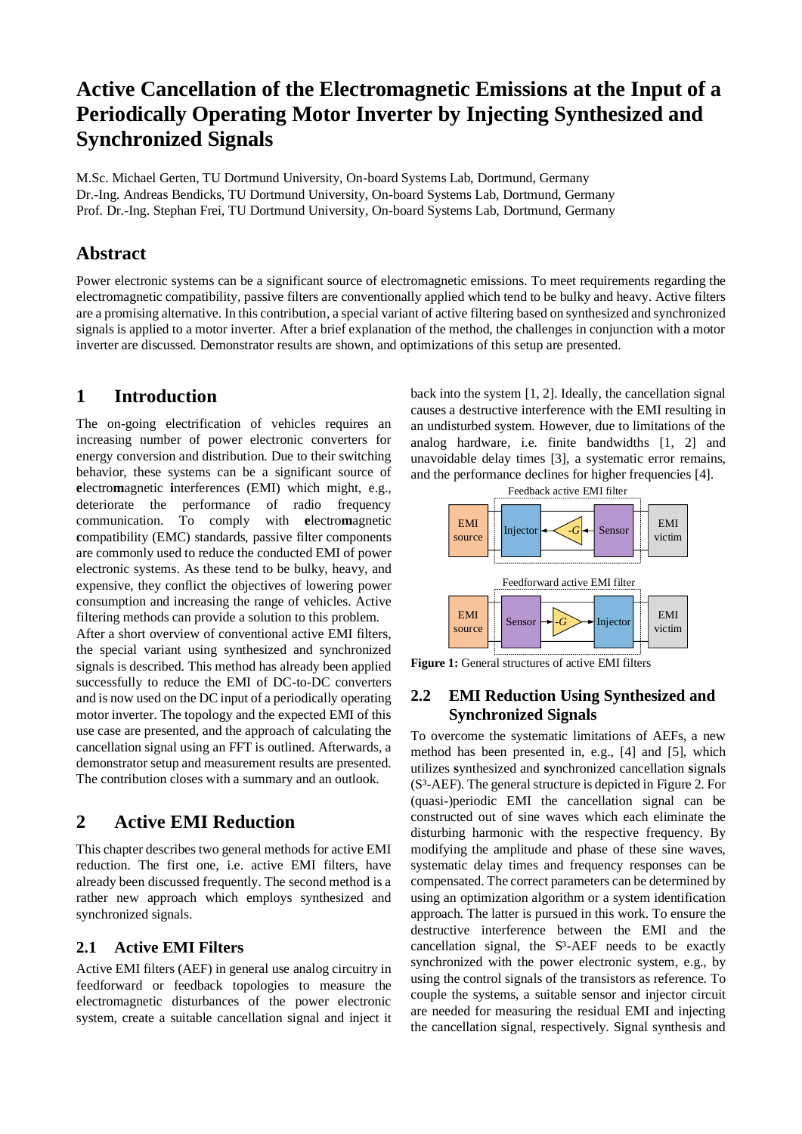# **Active Cancellation of the Electromagnetic Emissions at the Input of a Periodically Operating Motor Inverter by Injecting Synthesized and Synchronized Signals**

M.Sc. Michael Gerten, TU Dortmund University, On-board Systems Lab, Dortmund, Germany Dr.-Ing. Andreas Bendicks, TU Dortmund University, On-board Systems Lab, Dortmund, Germany Prof. Dr.-Ing. Stephan Frei, TU Dortmund University, On-board Systems Lab, Dortmund, Germany

## **Abstract**

Power electronic systems can be a significant source of electromagnetic emissions. To meet requirements regarding the electromagnetic compatibility, passive filters are conventionally applied which tend to be bulky and heavy. Active filters are a promising alternative. In this contribution, a special variant of active filtering based on synthesized and synchronized signals is applied to a motor inverter. After a brief explanation of the method, the challenges in conjunction with a motor inverter are discussed. Demonstrator results are shown, and optimizations of this setup are presented.

# **1 Introduction**

The on-going electrification of vehicles requires an increasing number of power electronic converters for energy conversion and distribution. Due to their switching behavior, these systems can be a significant source of **e**lectro**m**agnetic **i**nterferences (EMI) which might, e.g., deteriorate the performance of radio frequency communication. To comply with **e**lectro**m**agnetic **c**ompatibility (EMC) standards, passive filter components are commonly used to reduce the conducted EMI of power electronic systems. As these tend to be bulky, heavy, and expensive, they conflict the objectives of lowering power consumption and increasing the range of vehicles. Active filtering methods can provide a solution to this problem.

After a short overview of conventional active EMI filters, the special variant using synthesized and synchronized signals is described. This method has already been applied successfully to reduce the EMI of DC-to-DC converters and is now used on the DC input of a periodically operating motor inverter. The topology and the expected EMI of this use case are presented, and the approach of calculating the cancellation signal using an FFT is outlined. Afterwards, a demonstrator setup and measurement results are presented. The contribution closes with a summary and an outlook.

# **2 Active EMI Reduction**

This chapter describes two general methods for active EMI reduction. The first one, i.e. active EMI filters, have already been discussed frequently. The second method is a rather new approach which employs synthesized and synchronized signals.

#### **2.1 Active EMI Filters**

Active EMI filters (AEF) in general use analog circuitry in feedforward or feedback topologies to measure the electromagnetic disturbances of the power electronic system, create a suitable cancellation signal and inject it back into the system [1, 2]. Ideally, the cancellation signal causes a destructive interference with the EMI resulting in an undisturbed system. However, due to limitations of the analog hardware, i.e. finite bandwidths [1, 2] and unavoidable delay times [3], a systematic error remains, and the performance declines for higher frequencies [4].



Figure 1: General structures of active EMI filters

### **2.2 EMI Reduction Using Synthesized and Synchronized Signals**

To overcome the systematic limitations of AEFs, a new method has been presented in, e.g., [4] and [5], which utilizes **s**ynthesized and **s**ynchronized cancellation **s**ignals (S³-AEF). The general structure is depicted i[n Figure 2.](#page-1-0) For (quasi-)periodic EMI the cancellation signal can be constructed out of sine waves which each eliminate the disturbing harmonic with the respective frequency. By modifying the amplitude and phase of these sine waves, systematic delay times and frequency responses can be compensated. The correct parameters can be determined by using an optimization algorithm or a system identification approach. The latter is pursued in this work. To ensure the destructive interference between the EMI and the cancellation signal, the  $S<sup>3</sup>-AEF$  needs to be exactly synchronized with the power electronic system, e.g., by using the control signals of the transistors as reference. To couple the systems, a suitable sensor and injector circuit are needed for measuring the residual EMI and injecting the cancellation signal, respectively. Signal synthesis and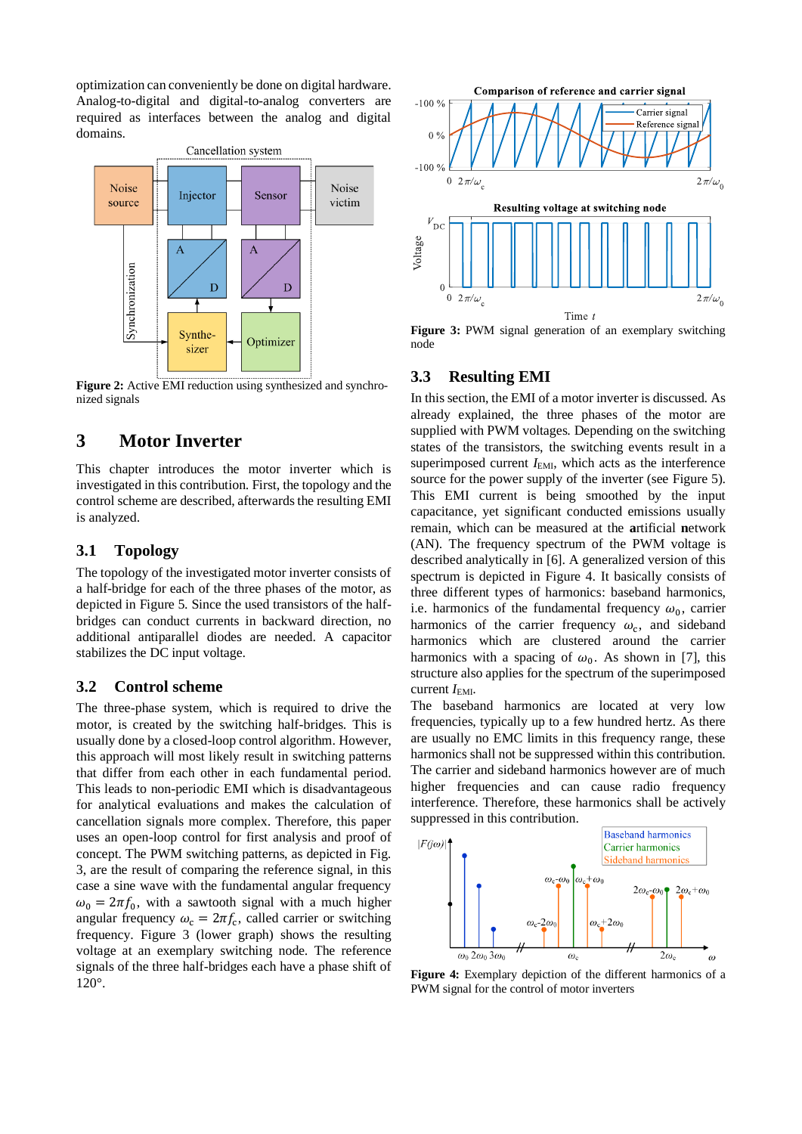optimization can conveniently be done on digital hardware. Analog-to-digital and digital-to-analog converters are required as interfaces between the analog and digital domains.



<span id="page-1-0"></span>**Figure 2:** Active EMI reduction using synthesized and synchronized signals

# **3 Motor Inverter**

This chapter introduces the motor inverter which is investigated in this contribution. First, the topology and the control scheme are described, afterwards the resulting EMI is analyzed.

### **3.1 Topology**

The topology of the investigated motor inverter consists of a half-bridge for each of the three phases of the motor, as depicted in [Figure 5.](#page-2-0) Since the used transistors of the halfbridges can conduct currents in backward direction, no additional antiparallel diodes are needed. A capacitor stabilizes the DC input voltage.

#### **3.2 Control scheme**

The three-phase system, which is required to drive the motor, is created by the switching half-bridges. This is usually done by a closed-loop control algorithm. However, this approach will most likely result in switching patterns that differ from each other in each fundamental period. This leads to non-periodic EMI which is disadvantageous for analytical evaluations and makes the calculation of cancellation signals more complex. Therefore, this paper uses an open-loop control for first analysis and proof of concept. The PWM switching patterns, as depicted in Fig. 3, are the result of comparing the reference signal, in this case a sine wave with the fundamental angular frequency  $\omega_0 = 2\pi f_0$ , with a sawtooth signal with a much higher angular frequency  $\omega_c = 2\pi f_c$ , called carrier or switching frequency. [Figure 3](#page-1-1) (lower graph) shows the resulting voltage at an exemplary switching node. The reference signals of the three half-bridges each have a phase shift of 120°.



<span id="page-1-1"></span>Figure 3: PWM signal generation of an exemplary switching node

#### **3.3 Resulting EMI**

In this section, the EMI of a motor inverter is discussed. As already explained, the three phases of the motor are supplied with PWM voltages. Depending on the switching states of the transistors, the switching events result in a superimposed current *I*<sub>EMI</sub>, which acts as the interference source for the power supply of the inverter (see [Figure 5\)](#page-2-0). This EMI current is being smoothed by the input capacitance, yet significant conducted emissions usually remain, which can be measured at the **a**rtificial **n**etwork (AN). The frequency spectrum of the PWM voltage is described analytically in [6]. A generalized version of this spectrum is depicted in [Figure 4.](#page-1-2) It basically consists of three different types of harmonics: baseband harmonics, i.e. harmonics of the fundamental frequency  $\omega_0$ , carrier harmonics of the carrier frequency  $\omega_c$ , and sideband harmonics which are clustered around the carrier harmonics with a spacing of  $\omega_0$ . As shown in [7], this structure also applies for the spectrum of the superimposed current  $I_{EMI}$ .

The baseband harmonics are located at very low frequencies, typically up to a few hundred hertz. As there are usually no EMC limits in this frequency range, these harmonics shall not be suppressed within this contribution. The carrier and sideband harmonics however are of much higher frequencies and can cause radio frequency interference. Therefore, these harmonics shall be actively suppressed in this contribution.



<span id="page-1-2"></span>**Figure 4:** Exemplary depiction of the different harmonics of a PWM signal for the control of motor inverters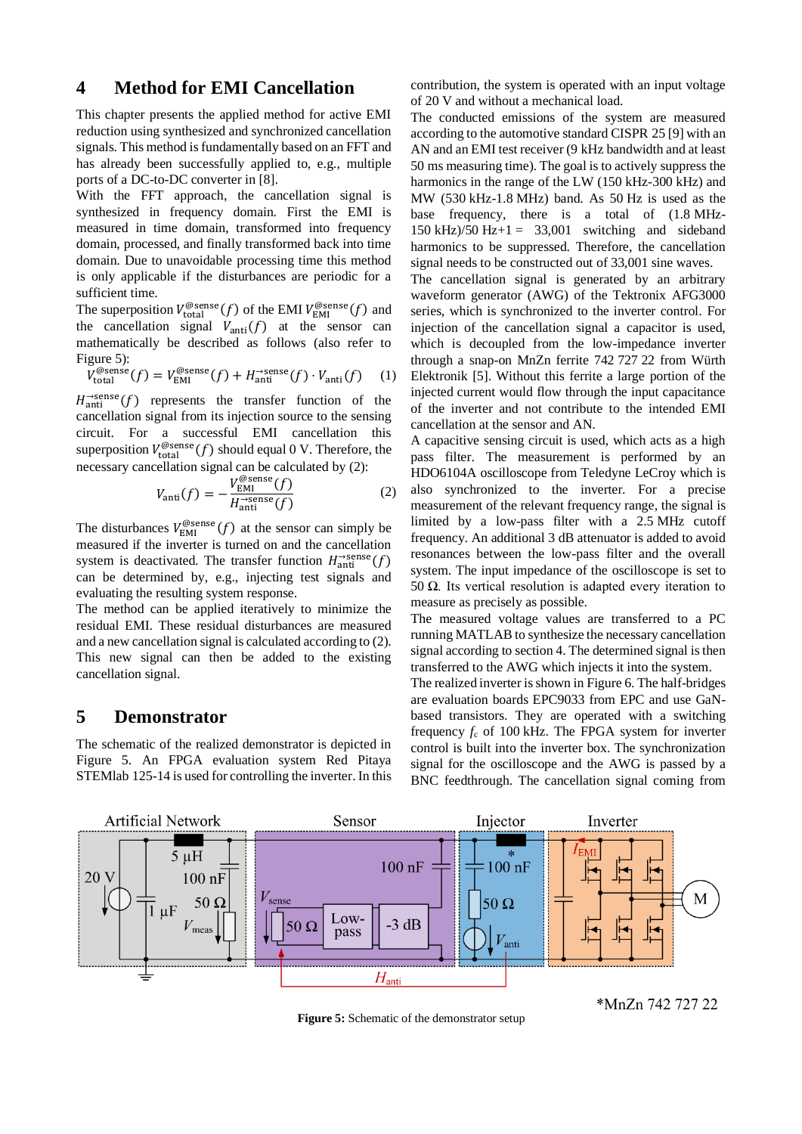## <span id="page-2-2"></span>**4 Method for EMI Cancellation**

This chapter presents the applied method for active EMI reduction using synthesized and synchronized cancellation signals. This method is fundamentally based on an FFT and has already been successfully applied to, e.g., multiple ports of a DC-to-DC converter in [8].

With the FFT approach, the cancellation signal is synthesized in frequency domain. First the EMI is measured in time domain, transformed into frequency domain, processed, and finally transformed back into time domain. Due to unavoidable processing time this method is only applicable if the disturbances are periodic for a sufficient time.

The superposition  $V_{total}^{\text{\textcirc}}(f)$  of the EMI  $V_{EMI}^{\text{\textcirc}}(f)$  and the cancellation signal  $V_{\text{anti}}(f)$  at the sensor can mathematically be described as follows (also refer to [Figure 5\)](#page-2-0):

$$
V_{\text{total}}^{\text{@sense}}(f) = V_{\text{EMI}}^{\text{@sense}}(f) + H_{\text{anti}}^{-\text{sense}}(f) \cdot V_{\text{anti}}(f) \tag{1}
$$

 $H_{\text{anti}}^{\rightarrow \text{sense}}(f)$  represents the transfer function of the cancellation signal from its injection source to the sensing circuit. For a successful EMI cancellation this superposition  $V_{total}^{\text{@sense}}(f)$  should equal 0 V. Therefore, the necessary cancellation signal can be calculated by [\(2\)](#page-2-1):

$$
V_{\text{anti}}(f) = -\frac{V_{\text{EMI}}^{\text{\textcirc}}(f)}{H_{\text{anti}}^{\text{-sense}}(f)}
$$
(2)

The disturbances  $V_{\text{EMI}}^{\text{@sense}}(f)$  at the sensor can simply be measured if the inverter is turned on and the cancellation system is deactivated. The transfer function  $H_{\text{anti}}^{\rightarrow \text{sense}}(f)$ can be determined by, e.g., injecting test signals and evaluating the resulting system response.

The method can be applied iteratively to minimize the residual EMI. These residual disturbances are measured and a new cancellation signal is calculated according t[o \(2\)](#page-2-1). This new signal can then be added to the existing cancellation signal.

## **5 Demonstrator**

The schematic of the realized demonstrator is depicted in [Figure 5.](#page-2-0) An FPGA evaluation system Red Pitaya STEMlab 125-14 is used for controlling the inverter. In this contribution, the system is operated with an input voltage of 20 V and without a mechanical load.

The conducted emissions of the system are measured according to the automotive standard CISPR 25 [9] with an AN and an EMI test receiver (9 kHz bandwidth and at least 50 ms measuring time). The goal is to actively suppress the harmonics in the range of the LW (150 kHz-300 kHz) and MW (530 kHz-1.8 MHz) band. As 50 Hz is used as the base frequency, there is a total of (1.8 MHz- $150 \text{ kHz}$  $/50 \text{ Hz} + 1 = 33,001$  switching and sideband harmonics to be suppressed. Therefore, the cancellation signal needs to be constructed out of 33,001 sine waves.

The cancellation signal is generated by an arbitrary waveform generator (AWG) of the Tektronix AFG3000 series, which is synchronized to the inverter control. For injection of the cancellation signal a capacitor is used, which is decoupled from the low-impedance inverter through a snap-on MnZn ferrite 742 727 22 from Würth Elektronik [5]. Without this ferrite a large portion of the injected current would flow through the input capacitance of the inverter and not contribute to the intended EMI cancellation at the sensor and AN.

<span id="page-2-1"></span>A capacitive sensing circuit is used, which acts as a high pass filter. The measurement is performed by an HDO6104A oscilloscope from Teledyne LeCroy which is also synchronized to the inverter. For a precise measurement of the relevant frequency range, the signal is limited by a low-pass filter with a 2.5 MHz cutoff frequency. An additional 3 dB attenuator is added to avoid resonances between the low-pass filter and the overall system. The input impedance of the oscilloscope is set to 50  $\Omega$ . Its vertical resolution is adapted every iteration to measure as precisely as possible.

The measured voltage values are transferred to a PC running MATLAB to synthesize the necessary cancellation signal according to sectio[n 4.](#page-2-2) The determined signal is then transferred to the AWG which injects it into the system.

The realized inverter is shown in [Figure 6.](#page-3-0) The half-bridges are evaluation boards EPC9033 from EPC and use GaNbased transistors. They are operated with a switching frequency  $f_c$  of 100 kHz. The FPGA system for inverter control is built into the inverter box. The synchronization signal for the oscilloscope and the AWG is passed by a BNC feedthrough. The cancellation signal coming from

<span id="page-2-0"></span>

**Figure 5:** Schematic of the demonstrator setup

\*MnZn 742 727 22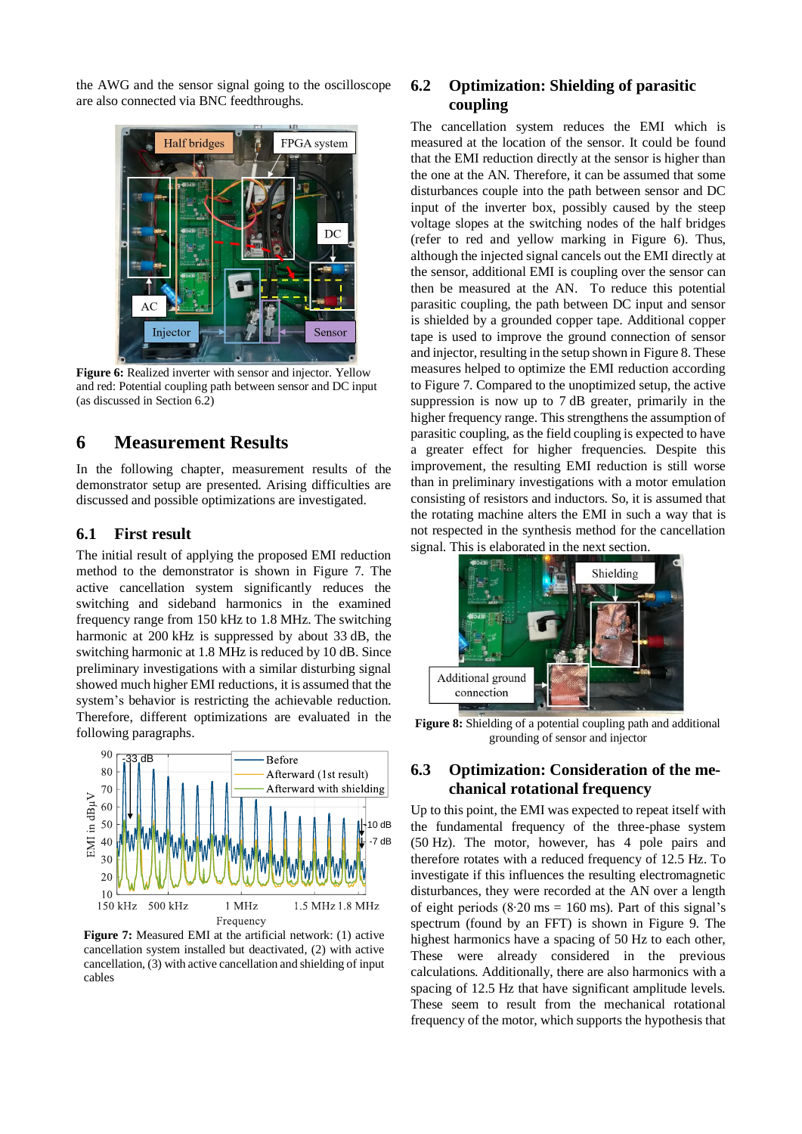the AWG and the sensor signal going to the oscilloscope are also connected via BNC feedthroughs.



Figure 6: Realized inverter with sensor and injector. Yellow and red: Potential coupling path between sensor and DC input (as discussed in Sectio[n 6.2\)](#page-3-1)

## <span id="page-3-0"></span>**6 Measurement Results**

In the following chapter, measurement results of the demonstrator setup are presented. Arising difficulties are discussed and possible optimizations are investigated.

#### **6.1 First result**

The initial result of applying the proposed EMI reduction method to the demonstrator is shown in [Figure 7.](#page-3-2) The active cancellation system significantly reduces the switching and sideband harmonics in the examined frequency range from 150 kHz to 1.8 MHz. The switching harmonic at 200 kHz is suppressed by about 33 dB, the switching harmonic at 1.8 MHz is reduced by 10 dB. Since preliminary investigations with a similar disturbing signal showed much higher EMI reductions, it is assumed that the system's behavior is restricting the achievable reduction. Therefore, different optimizations are evaluated in the following paragraphs.



<span id="page-3-2"></span>**Figure 7:** Measured EMI at the artificial network: (1) active cancellation system installed but deactivated, (2) with active cancellation, (3) with active cancellation and shielding of input cables

## <span id="page-3-1"></span>**6.2 Optimization: Shielding of parasitic coupling**

The cancellation system reduces the EMI which is measured at the location of the sensor. It could be found that the EMI reduction directly at the sensor is higher than the one at the AN. Therefore, it can be assumed that some disturbances couple into the path between sensor and DC input of the inverter box, possibly caused by the steep voltage slopes at the switching nodes of the half bridges (refer to red and yellow marking in [Figure 6\)](#page-3-0). Thus, although the injected signal cancels out the EMI directly at the sensor, additional EMI is coupling over the sensor can then be measured at the AN. To reduce this potential parasitic coupling, the path between DC input and sensor is shielded by a grounded copper tape. Additional copper tape is used to improve the ground connection of sensor and injector, resulting in the setup shown i[n Figure 8.](#page-3-3) These measures helped to optimize the EMI reduction according to [Figure 7.](#page-3-2) Compared to the unoptimized setup, the active suppression is now up to 7 dB greater, primarily in the higher frequency range. This strengthens the assumption of parasitic coupling, as the field coupling is expected to have a greater effect for higher frequencies. Despite this improvement, the resulting EMI reduction is still worse than in preliminary investigations with a motor emulation consisting of resistors and inductors. So, it is assumed that the rotating machine alters the EMI in such a way that is not respected in the synthesis method for the cancellation signal. This is elaborated in the next section.



**Figure 8:** Shielding of a potential coupling path and additional grounding of sensor and injector

#### <span id="page-3-3"></span>**6.3 Optimization: Consideration of the mechanical rotational frequency**

Up to this point, the EMI was expected to repeat itself with the fundamental frequency of the three-phase system (50 Hz). The motor, however, has 4 pole pairs and therefore rotates with a reduced frequency of 12.5 Hz. To investigate if this influences the resulting electromagnetic disturbances, they were recorded at the AN over a length of eight periods  $(8.20 \text{ ms} = 160 \text{ ms})$ . Part of this signal's spectrum (found by an FFT) is shown in [Figure 9.](#page-4-0) The highest harmonics have a spacing of 50 Hz to each other, These were already considered in the previous calculations. Additionally, there are also harmonics with a spacing of 12.5 Hz that have significant amplitude levels. These seem to result from the mechanical rotational frequency of the motor, which supports the hypothesis that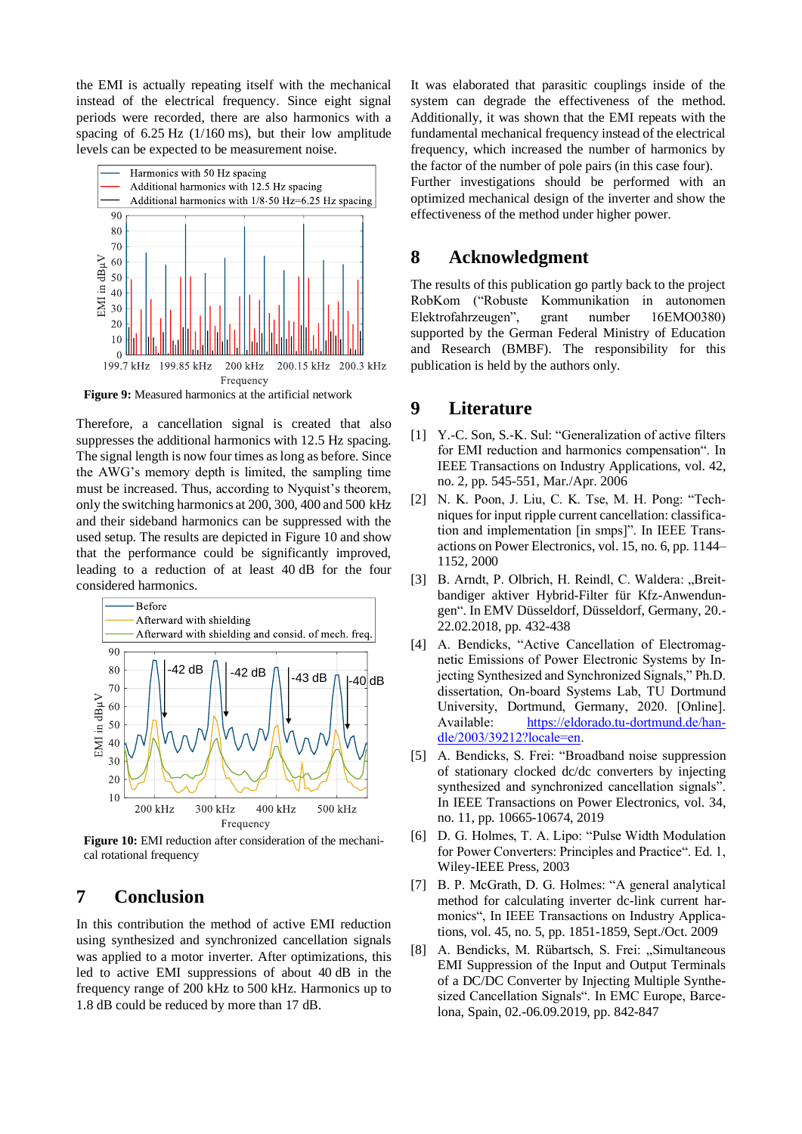the EMI is actually repeating itself with the mechanical instead of the electrical frequency. Since eight signal periods were recorded, there are also harmonics with a spacing of 6.25 Hz (1/160 ms), but their low amplitude levels can be expected to be measurement noise.



<span id="page-4-0"></span>**Figure 9:** Measured harmonics at the artificial network

Therefore, a cancellation signal is created that also suppresses the additional harmonics with 12.5 Hz spacing. The signal length is now four times as long as before. Since the AWG's memory depth is limited, the sampling time must be increased. Thus, according to Nyquist's theorem, only the switching harmonics at 200, 300, 400 and 500 kHz and their sideband harmonics can be suppressed with the used setup. The results are depicted in [Figure 10](#page-4-1) and show that the performance could be significantly improved, leading to a reduction of at least 40 dB for the four considered harmonics.



<span id="page-4-1"></span>**Figure 10:** EMI reduction after consideration of the mechanical rotational frequency

# **7 Conclusion**

In this contribution the method of active EMI reduction using synthesized and synchronized cancellation signals was applied to a motor inverter. After optimizations, this led to active EMI suppressions of about 40 dB in the frequency range of 200 kHz to 500 kHz. Harmonics up to 1.8 dB could be reduced by more than 17 dB.

It was elaborated that parasitic couplings inside of the system can degrade the effectiveness of the method. Additionally, it was shown that the EMI repeats with the fundamental mechanical frequency instead of the electrical frequency, which increased the number of harmonics by the factor of the number of pole pairs (in this case four).

Further investigations should be performed with an optimized mechanical design of the inverter and show the effectiveness of the method under higher power.

## **8 Acknowledgment**

The results of this publication go partly back to the project RobKom ("Robuste Kommunikation in autonomen Elektrofahrzeugen", grant number 16EMO0380) supported by the German Federal Ministry of Education and Research (BMBF). The responsibility for this publication is held by the authors only.

## **9 Literature**

- [1] Y.-C. Son, S.-K. Sul: "Generalization of active filters for EMI reduction and harmonics compensation". In IEEE Transactions on Industry Applications, vol. 42, no. 2, pp. 545-551, Mar./Apr. 2006
- [2] N. K. Poon, J. Liu, C. K. Tse, M. H. Pong: "Techniques for input ripple current cancellation: classification and implementation [in smps]". In IEEE Transactions on Power Electronics, vol. 15, no. 6, pp. 1144– 1152, 2000
- [3] B. Arndt, P. Olbrich, H. Reindl, C. Waldera: "Breitbandiger aktiver Hybrid-Filter für Kfz-Anwendungen". In EMV Düsseldorf, Düsseldorf, Germany, 20.- 22.02.2018, pp. 432-438
- [4] A. Bendicks, "Active Cancellation of Electromagnetic Emissions of Power Electronic Systems by Injecting Synthesized and Synchronized Signals," Ph.D. dissertation, On-board Systems Lab, TU Dortmund University, Dortmund, Germany, 2020. [Online]. Available: [https://eldorado.tu-dortmund.de/han](https://eldorado.tu-dortmund.de/handle/2003/39212?locale=en)[dle/2003/39212?locale=en.](https://eldorado.tu-dortmund.de/handle/2003/39212?locale=en)
- [5] A. Bendicks, S. Frei: "Broadband noise suppression of stationary clocked dc/dc converters by injecting synthesized and synchronized cancellation signals". In IEEE Transactions on Power Electronics, vol. 34, no. 11, pp. 10665-10674, 2019
- [6] D. G. Holmes, T. A. Lipo: "Pulse Width Modulation for Power Converters: Principles and Practice". Ed. 1, Wiley-IEEE Press, 2003
- [7] B. P. McGrath, D. G. Holmes: "A general analytical method for calculating inverter dc-link current harmonics", In IEEE Transactions on Industry Applications, vol. 45, no. 5, pp. 1851-1859, Sept./Oct. 2009
- [8] A. Bendicks, M. Rübartsch, S. Frei: "Simultaneous EMI Suppression of the Input and Output Terminals of a DC/DC Converter by Injecting Multiple Synthesized Cancellation Signals". In EMC Europe, Barcelona, Spain, 02.-06.09.2019, pp. 842-847